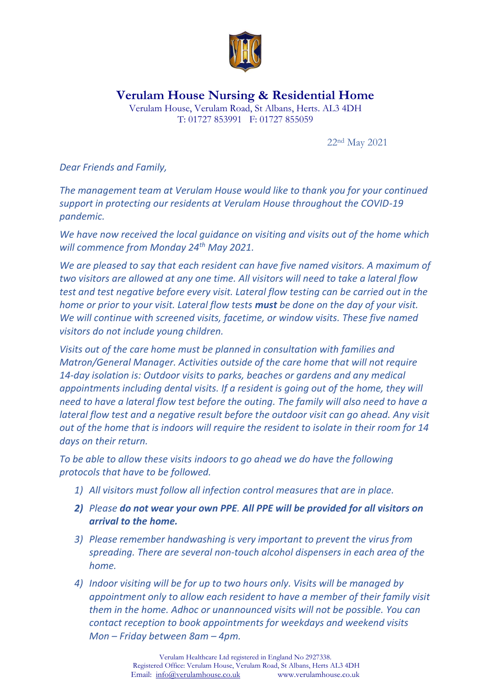

**Verulam House Nursing & Residential Home**

Verulam House, Verulam Road, St Albans, Herts. AL3 4DH T: 01727 853991 F: 01727 855059

22nd May 2021

*Dear Friends and Family,*

*The management team at Verulam House would like to thank you for your continued support in protecting our residents at Verulam House throughout the COVID-19 pandemic.*

*We have now received the local guidance on visiting and visits out of the home which will commence from Monday 24th May 2021.*

*We are pleased to say that each resident can have five named visitors. A maximum of two visitors are allowed at any one time. All visitors will need to take a lateral flow test and test negative before every visit. Lateral flow testing can be carried out in the home or prior to your visit. Lateral flow tests must be done on the day of your visit. We will continue with screened visits, facetime, or window visits. These five named visitors do not include young children.*

*Visits out of the care home must be planned in consultation with families and Matron/General Manager. Activities outside of the care home that will not require 14-day isolation is: Outdoor visits to parks, beaches or gardens and any medical appointments including dental visits. If a resident is going out of the home, they will need to have a lateral flow test before the outing. The family will also need to have a lateral flow test and a negative result before the outdoor visit can go ahead. Any visit out of the home that is indoors will require the resident to isolate in their room for 14 days on their return.*

*To be able to allow these visits indoors to go ahead we do have the following protocols that have to be followed.*

- *1) All visitors must follow all infection control measures that are in place.*
- *2) Please do not wear your own PPE. All PPE will be provided for all visitors on arrival to the home.*
- *3) Please remember handwashing is very important to prevent the virus from spreading. There are several non-touch alcohol dispensers in each area of the home.*
- *4) Indoor visiting will be for up to two hours only. Visits will be managed by appointment only to allow each resident to have a member of their family visit them in the home. Adhoc or unannounced visits will not be possible. You can contact reception to book appointments for weekdays and weekend visits Mon – Friday between 8am – 4pm.*